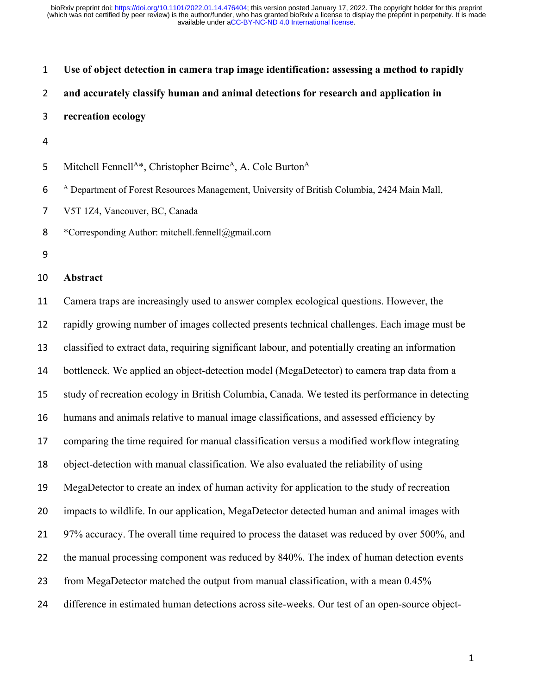| $\mathbf{1}$   | Use of object detection in camera trap image identification: assessing a method to rapidly              |
|----------------|---------------------------------------------------------------------------------------------------------|
| $\overline{2}$ | and accurately classify human and animal detections for research and application in                     |
| 3              | recreation ecology                                                                                      |
| 4              |                                                                                                         |
| 5              | Mitchell Fennell <sup>A*</sup> , Christopher Beirne <sup>A</sup> , A. Cole Burton <sup>A</sup>          |
| 6              | <sup>A</sup> Department of Forest Resources Management, University of British Columbia, 2424 Main Mall, |
| 7              | V5T 1Z4, Vancouver, BC, Canada                                                                          |
| 8              | *Corresponding Author: mitchell.fennell@gmail.com                                                       |
| 9              |                                                                                                         |
|                |                                                                                                         |
| 10             | Abstract                                                                                                |
| 11             | Camera traps are increasingly used to answer complex ecological questions. However, the                 |
| 12             | rapidly growing number of images collected presents technical challenges. Each image must be            |
| 13             | classified to extract data, requiring significant labour, and potentially creating an information       |
| 14             | bottleneck. We applied an object-detection model (MegaDetector) to camera trap data from a              |
| 15             | study of recreation ecology in British Columbia, Canada. We tested its performance in detecting         |
| 16             | humans and animals relative to manual image classifications, and assessed efficiency by                 |
| 17             | comparing the time required for manual classification versus a modified workflow integrating            |

MegaDetector to create an index of human activity for application to the study of recreation

impacts to wildlife. In our application, MegaDetector detected human and animal images with

21 97% accuracy. The overall time required to process the dataset was reduced by over 500%, and

22 the manual processing component was reduced by 840%. The index of human detection events

from MegaDetector matched the output from manual classification, with a mean 0.45%

difference in estimated human detections across site-weeks. Our test of an open-source object-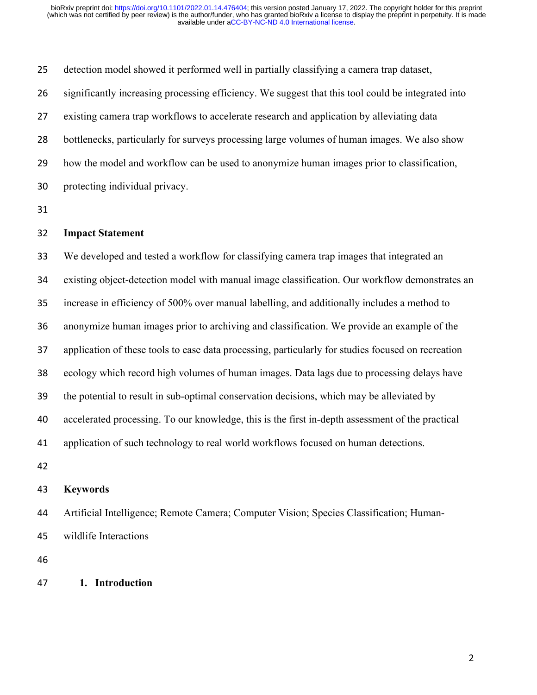detection model showed it performed well in partially classifying a camera trap dataset, significantly increasing processing efficiency. We suggest that this tool could be integrated into existing camera trap workflows to accelerate research and application by alleviating data bottlenecks, particularly for surveys processing large volumes of human images. We also show how the model and workflow can be used to anonymize human images prior to classification, protecting individual privacy.

## **Impact Statement**

 We developed and tested a workflow for classifying camera trap images that integrated an existing object-detection model with manual image classification. Our workflow demonstrates an increase in efficiency of 500% over manual labelling, and additionally includes a method to anonymize human images prior to archiving and classification. We provide an example of the application of these tools to ease data processing, particularly for studies focused on recreation ecology which record high volumes of human images. Data lags due to processing delays have the potential to result in sub-optimal conservation decisions, which may be alleviated by accelerated processing. To our knowledge, this is the first in-depth assessment of the practical application of such technology to real world workflows focused on human detections.

# **Keywords**

 Artificial Intelligence; Remote Camera; Computer Vision; Species Classification; Human-wildlife Interactions

# **1. Introduction**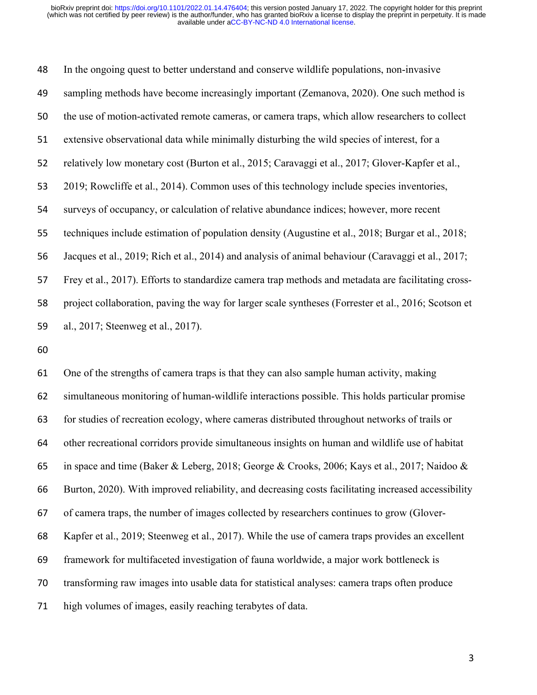In the ongoing quest to better understand and conserve wildlife populations, non-invasive sampling methods have become increasingly important (Zemanova, 2020). One such method is the use of motion-activated remote cameras, or camera traps, which allow researchers to collect extensive observational data while minimally disturbing the wild species of interest, for a 52 relatively low monetary cost (Burton et al., 2015; Caravaggi et al., 2017; Glover-Kapfer et al., 2019; Rowcliffe et al., 2014). Common uses of this technology include species inventories, surveys of occupancy, or calculation of relative abundance indices; however, more recent techniques include estimation of population density (Augustine et al., 2018; Burgar et al., 2018; Jacques et al., 2019; Rich et al., 2014) and analysis of animal behaviour (Caravaggi et al., 2017; Frey et al., 2017). Efforts to standardize camera trap methods and metadata are facilitating cross- project collaboration, paving the way for larger scale syntheses (Forrester et al., 2016; Scotson et al., 2017; Steenweg et al., 2017).

 One of the strengths of camera traps is that they can also sample human activity, making simultaneous monitoring of human-wildlife interactions possible. This holds particular promise for studies of recreation ecology, where cameras distributed throughout networks of trails or other recreational corridors provide simultaneous insights on human and wildlife use of habitat 65 in space and time (Baker & Leberg, 2018; George & Crooks, 2006; Kays et al., 2017; Naidoo & Burton, 2020). With improved reliability, and decreasing costs facilitating increased accessibility of camera traps, the number of images collected by researchers continues to grow (Glover‐ Kapfer et al., 2019; Steenweg et al., 2017). While the use of camera traps provides an excellent framework for multifaceted investigation of fauna worldwide, a major work bottleneck is transforming raw images into usable data for statistical analyses: camera traps often produce high volumes of images, easily reaching terabytes of data.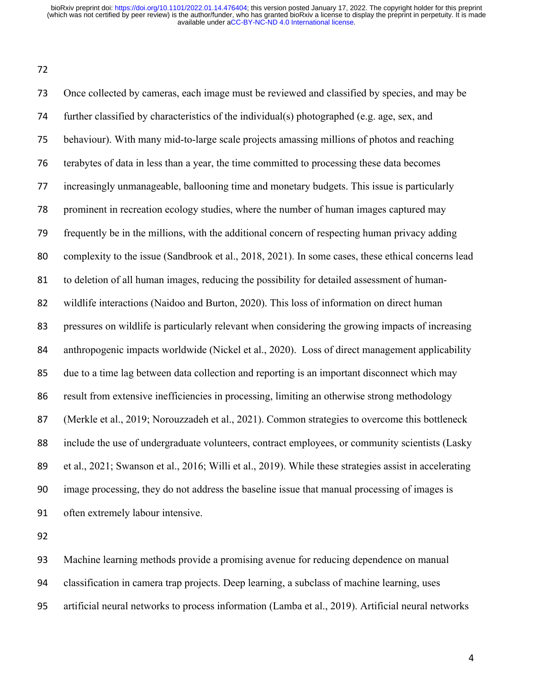Once collected by cameras, each image must be reviewed and classified by species, and may be further classified by characteristics of the individual(s) photographed (e.g. age, sex, and behaviour). With many mid-to-large scale projects amassing millions of photos and reaching terabytes of data in less than a year, the time committed to processing these data becomes increasingly unmanageable, ballooning time and monetary budgets. This issue is particularly prominent in recreation ecology studies, where the number of human images captured may frequently be in the millions, with the additional concern of respecting human privacy adding complexity to the issue (Sandbrook et al., 2018, 2021). In some cases, these ethical concerns lead to deletion of all human images, reducing the possibility for detailed assessment of human- wildlife interactions (Naidoo and Burton, 2020). This loss of information on direct human pressures on wildlife is particularly relevant when considering the growing impacts of increasing anthropogenic impacts worldwide (Nickel et al., 2020). Loss of direct management applicability due to a time lag between data collection and reporting is an important disconnect which may result from extensive inefficiencies in processing, limiting an otherwise strong methodology (Merkle et al., 2019; Norouzzadeh et al., 2021). Common strategies to overcome this bottleneck include the use of undergraduate volunteers, contract employees, or community scientists (Lasky et al., 2021; Swanson et al., 2016; Willi et al., 2019). While these strategies assist in accelerating image processing, they do not address the baseline issue that manual processing of images is often extremely labour intensive.

 Machine learning methods provide a promising avenue for reducing dependence on manual classification in camera trap projects. Deep learning, a subclass of machine learning, uses artificial neural networks to process information (Lamba et al., 2019). Artificial neural networks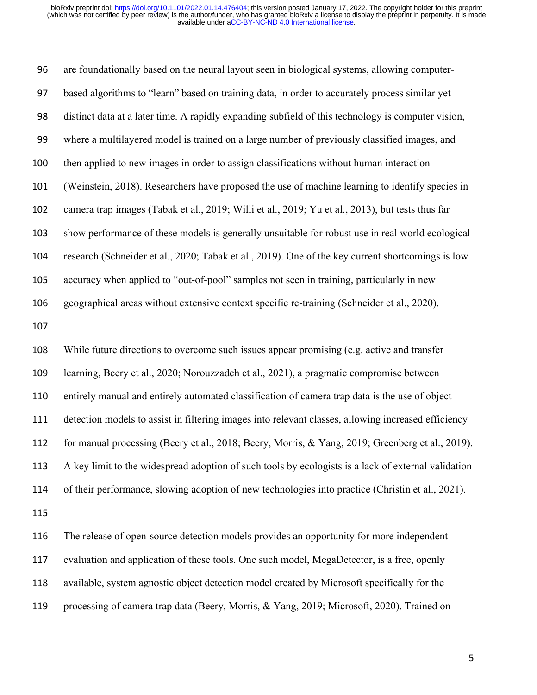are foundationally based on the neural layout seen in biological systems, allowing computer- based algorithms to "learn" based on training data, in order to accurately process similar yet distinct data at a later time. A rapidly expanding subfield of this technology is computer vision, where a multilayered model is trained on a large number of previously classified images, and then applied to new images in order to assign classifications without human interaction (Weinstein, 2018). Researchers have proposed the use of machine learning to identify species in camera trap images (Tabak et al., 2019; Willi et al., 2019; Yu et al., 2013), but tests thus far show performance of these models is generally unsuitable for robust use in real world ecological research (Schneider et al., 2020; Tabak et al., 2019). One of the key current shortcomings is low accuracy when applied to "out-of-pool" samples not seen in training, particularly in new geographical areas without extensive context specific re-training (Schneider et al., 2020). While future directions to overcome such issues appear promising (e.g. active and transfer learning, Beery et al., 2020; Norouzzadeh et al., 2021), a pragmatic compromise between entirely manual and entirely automated classification of camera trap data is the use of object detection models to assist in filtering images into relevant classes, allowing increased efficiency for manual processing (Beery et al., 2018; Beery, Morris, & Yang, 2019; Greenberg et al., 2019). A key limit to the widespread adoption of such tools by ecologists is a lack of external validation of their performance, slowing adoption of new technologies into practice (Christin et al., 2021). The release of open-source detection models provides an opportunity for more independent evaluation and application of these tools. One such model, MegaDetector, is a free, openly

available, system agnostic object detection model created by Microsoft specifically for the

processing of camera trap data (Beery, Morris, & Yang, 2019; Microsoft, 2020). Trained on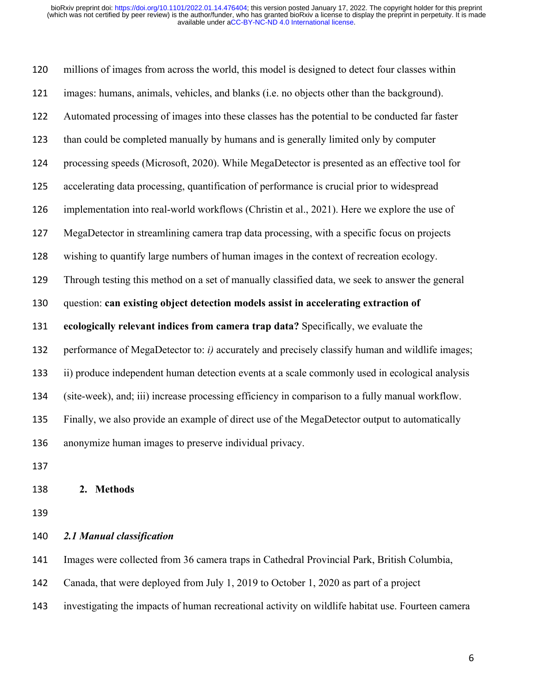millions of images from across the world, this model is designed to detect four classes within images: humans, animals, vehicles, and blanks (i.e. no objects other than the background). Automated processing of images into these classes has the potential to be conducted far faster than could be completed manually by humans and is generally limited only by computer processing speeds (Microsoft, 2020). While MegaDetector is presented as an effective tool for accelerating data processing, quantification of performance is crucial prior to widespread implementation into real-world workflows (Christin et al., 2021). Here we explore the use of MegaDetector in streamlining camera trap data processing, with a specific focus on projects wishing to quantify large numbers of human images in the context of recreation ecology. Through testing this method on a set of manually classified data, we seek to answer the general question: **can existing object detection models assist in accelerating extraction of ecologically relevant indices from camera trap data?** Specifically, we evaluate the performance of MegaDetector to: *i)* accurately and precisely classify human and wildlife images; ii) produce independent human detection events at a scale commonly used in ecological analysis (site-week), and; iii) increase processing efficiency in comparison to a fully manual workflow. Finally, we also provide an example of direct use of the MegaDetector output to automatically anonymize human images to preserve individual privacy.

## **2. Methods**

## *2.1 Manual classification*

Images were collected from 36 camera traps in Cathedral Provincial Park, British Columbia,

- Canada, that were deployed from July 1, 2019 to October 1, 2020 as part of a project
- investigating the impacts of human recreational activity on wildlife habitat use. Fourteen camera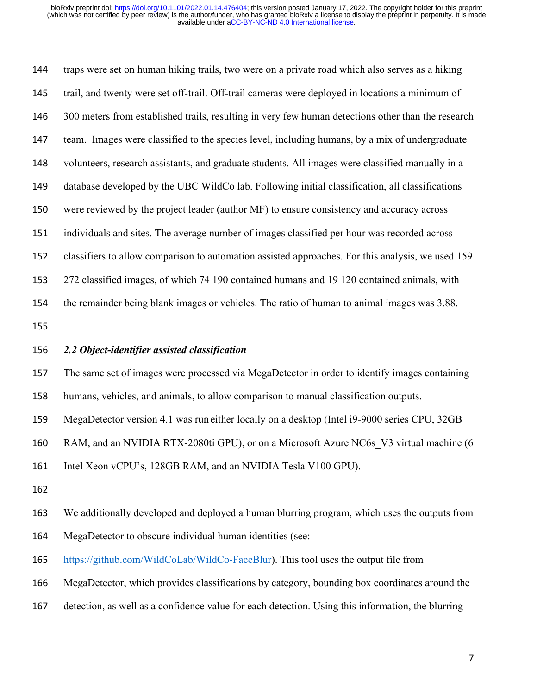traps were set on human hiking trails, two were on a private road which also serves as a hiking trail, and twenty were set off-trail. Off-trail cameras were deployed in locations a minimum of 146 300 meters from established trails, resulting in very few human detections other than the research team. Images were classified to the species level, including humans, by a mix of undergraduate volunteers, research assistants, and graduate students. All images were classified manually in a database developed by the UBC WildCo lab. Following initial classification, all classifications were reviewed by the project leader (author MF) to ensure consistency and accuracy across individuals and sites. The average number of images classified per hour was recorded across classifiers to allow comparison to automation assisted approaches. For this analysis, we used 159 272 classified images, of which 74 190 contained humans and 19 120 contained animals, with the remainder being blank images or vehicles. The ratio of human to animal images was 3.88. 

## *2.2 Object-identifier assisted classification*

The same set of images were processed via MegaDetector in order to identify images containing

humans, vehicles, and animals, to allow comparison to manual classification outputs.

MegaDetector version 4.1 was run either locally on a desktop (Intel i9-9000 series CPU, 32GB

RAM, and an NVIDIA RTX-2080ti GPU), or on a Microsoft Azure NC6s\_V3 virtual machine (6

Intel Xeon vCPU's, 128GB RAM, and an NVIDIA Tesla V100 GPU).

We additionally developed and deployed a human blurring program, which uses the outputs from

MegaDetector to obscure individual human identities (see:

165 https://github.com/WildCoLab/WildCo-FaceBlur). This tool uses the output file from

MegaDetector, which provides classifications by category, bounding box coordinates around the

detection, as well as a confidence value for each detection. Using this information, the blurring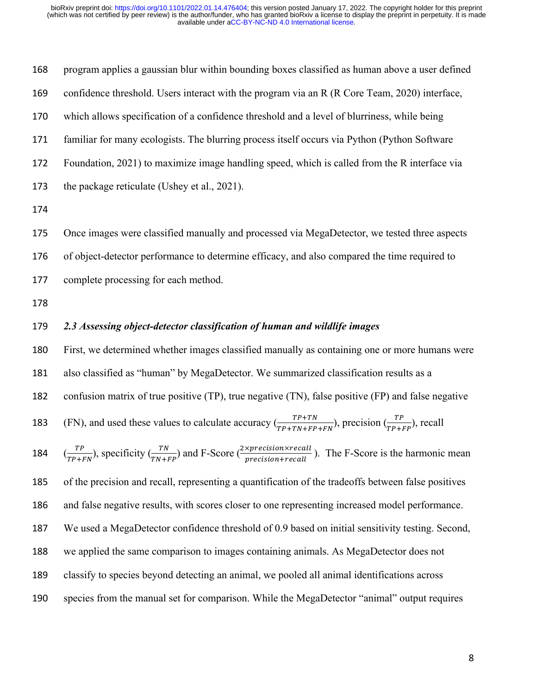| 168 | program applies a gaussian blur within bounding boxes classified as human above a user defined |
|-----|------------------------------------------------------------------------------------------------|
| 169 | confidence threshold. Users interact with the program via an R (R Core Team, 2020) interface,  |
| 170 | which allows specification of a confidence threshold and a level of blurriness, while being    |
| 171 | familiar for many ecologists. The blurring process itself occurs via Python (Python Software   |
| 172 | Foundation, 2021) to maximize image handling speed, which is called from the R interface via   |
| 173 | the package reticulate (Ushey et al., 2021).                                                   |
| 174 |                                                                                                |

Once images were classified manually and processed via MegaDetector, we tested three aspects

of object-detector performance to determine efficacy, and also compared the time required to

complete processing for each method.

# *2.3 Assessing object-detector classification of human and wildlife images*

 First, we determined whether images classified manually as containing one or more humans were also classified as "human" by MegaDetector. We summarized classification results as a confusion matrix of true positive (TP), true negative (TN), false positive (FP) and false negative 183 (FN), and used these values to calculate accuracy  $\left(\frac{TP+TN}{TP+TN+FP+FN}\right)$ , precision  $\left(\frac{TP}{TP+FP}\right)$ , recall  $(\frac{TP}{TP+FN})$ , specificity  $(\frac{TN}{TN+FP})$  and F-Score  $(\frac{2\times precision\times recall}{precision+recall})$  $(\frac{TP}{TP+FN})$ , specificity  $(\frac{TN}{TN+FP})$  and F-Score  $(\frac{2\times prepsilon +1)}{precision + recall})$ . The F-Score is the harmonic mean of the precision and recall, representing a quantification of the tradeoffs between false positives and false negative results, with scores closer to one representing increased model performance. We used a MegaDetector confidence threshold of 0.9 based on initial sensitivity testing. Second, we applied the same comparison to images containing animals. As MegaDetector does not classify to species beyond detecting an animal, we pooled all animal identifications across species from the manual set for comparison. While the MegaDetector "animal" output requires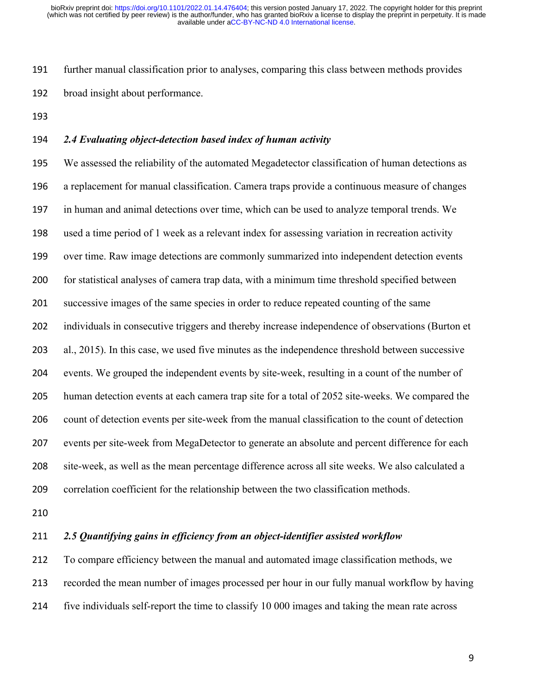further manual classification prior to analyses, comparing this class between methods provides broad insight about performance.

## *2.4 Evaluating object-detection based index of human activity*

 We assessed the reliability of the automated Megadetector classification of human detections as a replacement for manual classification. Camera traps provide a continuous measure of changes in human and animal detections over time, which can be used to analyze temporal trends. We used a time period of 1 week as a relevant index for assessing variation in recreation activity over time. Raw image detections are commonly summarized into independent detection events for statistical analyses of camera trap data, with a minimum time threshold specified between successive images of the same species in order to reduce repeated counting of the same individuals in consecutive triggers and thereby increase independence of observations (Burton et al., 2015). In this case, we used five minutes as the independence threshold between successive events. We grouped the independent events by site-week, resulting in a count of the number of human detection events at each camera trap site for a total of 2052 site-weeks. We compared the count of detection events per site-week from the manual classification to the count of detection events per site-week from MegaDetector to generate an absolute and percent difference for each site-week, as well as the mean percentage difference across all site weeks. We also calculated a correlation coefficient for the relationship between the two classification methods.

## *2.5 Quantifying gains in efficiency from an object-identifier assisted workflow*

 To compare efficiency between the manual and automated image classification methods, we recorded the mean number of images processed per hour in our fully manual workflow by having five individuals self-report the time to classify 10 000 images and taking the mean rate across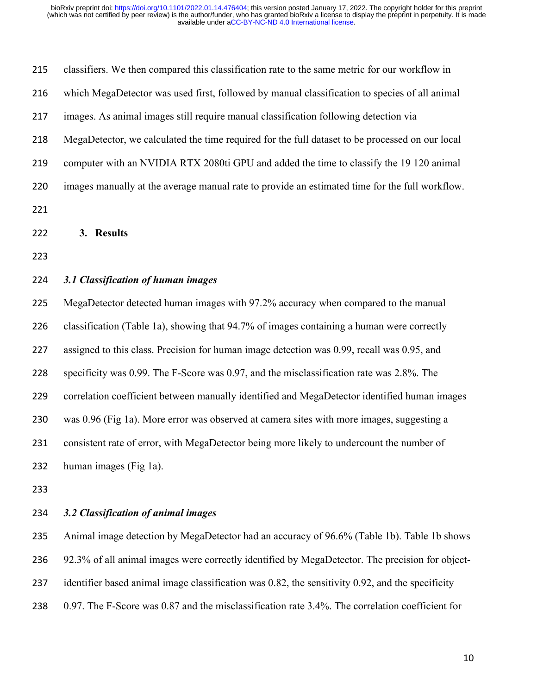| 215 | classifiers. We then compared this classification rate to the same metric for our workflow in   |
|-----|-------------------------------------------------------------------------------------------------|
| 216 | which MegaDetector was used first, followed by manual classification to species of all animal   |
| 217 | images. As animal images still require manual classification following detection via            |
| 218 | MegaDetector, we calculated the time required for the full dataset to be processed on our local |
| 219 | computer with an NVIDIA RTX 2080ti GPU and added the time to classify the 19 120 animal         |
| 220 | images manually at the average manual rate to provide an estimated time for the full workflow.  |
| 221 |                                                                                                 |
| 222 | 3. Results                                                                                      |
| 223 |                                                                                                 |
| 224 | 3.1 Classification of human images                                                              |
| 225 | MegaDetector detected human images with 97.2% accuracy when compared to the manual              |
| 226 | classification (Table 1a), showing that 94.7% of images containing a human were correctly       |
| 227 | assigned to this class. Precision for human image detection was 0.99, recall was 0.95, and      |
| 228 | specificity was 0.99. The F-Score was 0.97, and the misclassification rate was 2.8%. The        |
| 229 | correlation coefficient between manually identified and MegaDetector identified human images    |
| 230 | was 0.96 (Fig 1a). More error was observed at camera sites with more images, suggesting a       |
| 231 | consistent rate of error, with MegaDetector being more likely to undercount the number of       |
| 232 | human images (Fig 1a).                                                                          |
|     |                                                                                                 |

# *3.2 Classification of animal images*

 Animal image detection by MegaDetector had an accuracy of 96.6% (Table 1b). Table 1b shows 92.3% of all animal images were correctly identified by MegaDetector. The precision for object-237 identifier based animal image classification was 0.82, the sensitivity 0.92, and the specificity 0.97. The F-Score was 0.87 and the misclassification rate 3.4%. The correlation coefficient for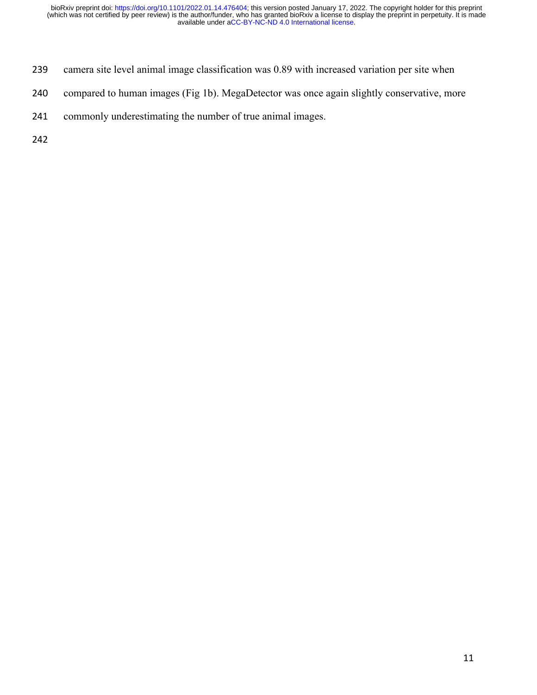- camera site level animal image classification was 0.89 with increased variation per site when
- compared to human images (Fig 1b). MegaDetector was once again slightly conservative, more
- commonly underestimating the number of true animal images.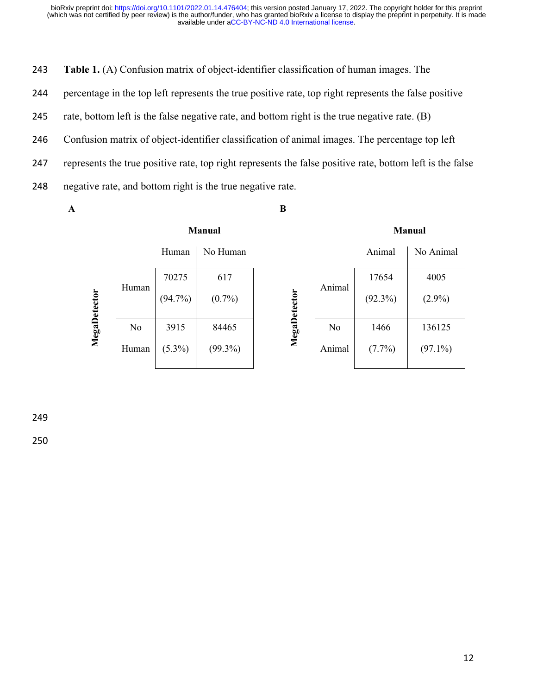243 **Table 1.** (A) Confusion matrix of object-identifier classification of human images. The

244 percentage in the top left represents the true positive rate, top right represents the false positive

245 rate, bottom left is the false negative rate, and bottom right is the true negative rate. (B)

246 Confusion matrix of object-identifier classification of animal images. The percentage top left

247 represents the true positive rate, top right represents the false positive rate, bottom left is the false

248 negative rate, and bottom right is the true negative rate.

**Manual**

**A**

**B**

#### **Manual**

|              |       | Human      | No Human   |       |        | Animal     | No Animal  |
|--------------|-------|------------|------------|-------|--------|------------|------------|
| MegaDetector |       | 70275      | 617        |       | Animal | 17654      | 4005       |
|              | Human | $(94.7\%)$ | $(0.7\%)$  | ğ     |        | $(92.3\%)$ | $(2.9\%)$  |
|              | No    | 3915       | 84465      | Megal | No     | 1466       | 136125     |
|              | Human | $(5.3\%)$  | $(99.3\%)$ |       | Animal | $(7.7\%)$  | $(97.1\%)$ |

249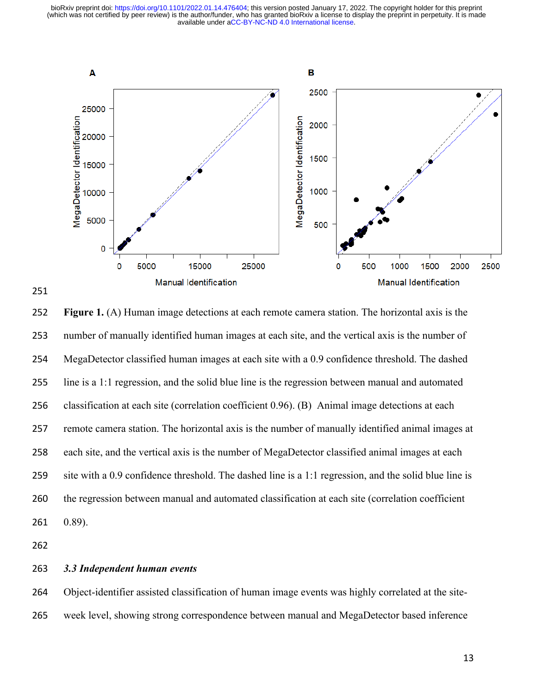





## *3.3 Independent human events*

 Object-identifier assisted classification of human image events was highly correlated at the site-week level, showing strong correspondence between manual and MegaDetector based inference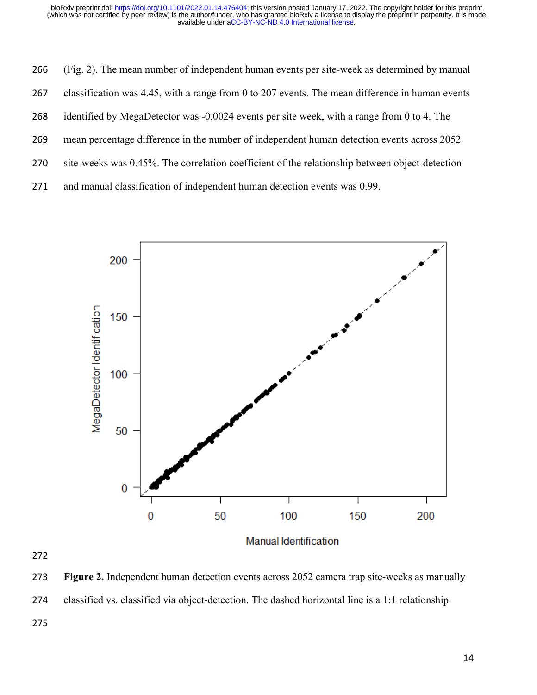- (Fig. 2). The mean number of independent human events per site-week as determined by manual
- classification was 4.45, with a range from 0 to 207 events. The mean difference in human events
- identified by MegaDetector was -0.0024 events per site week, with a range from 0 to 4. The
- mean percentage difference in the number of independent human detection events across 2052
- site-weeks was 0.45%. The correlation coefficient of the relationship between object-detection
- and manual classification of independent human detection events was 0.99.



 **Figure 2.** Independent human detection events across 2052 camera trap site-weeks as manually classified vs. classified via object-detection. The dashed horizontal line is a 1:1 relationship.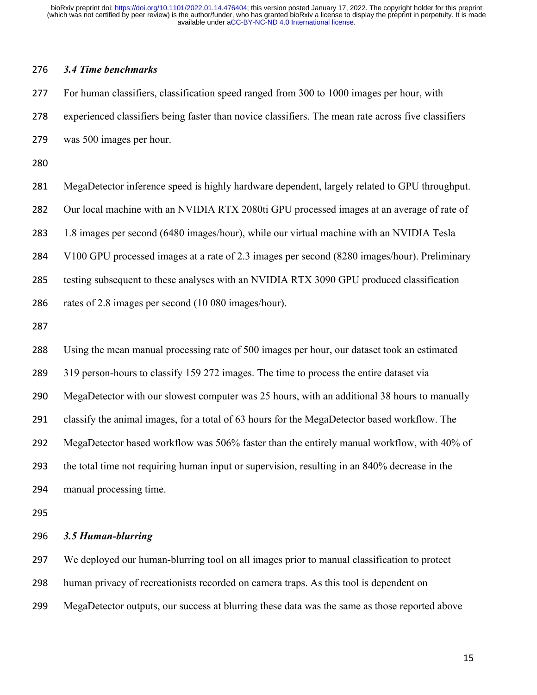## *3.4 Time benchmarks*

 For human classifiers, classification speed ranged from 300 to 1000 images per hour, with experienced classifiers being faster than novice classifiers. The mean rate across five classifiers was 500 images per hour.

 MegaDetector inference speed is highly hardware dependent, largely related to GPU throughput. Our local machine with an NVIDIA RTX 2080ti GPU processed images at an average of rate of 1.8 images per second (6480 images/hour), while our virtual machine with an NVIDIA Tesla V100 GPU processed images at a rate of 2.3 images per second (8280 images/hour). Preliminary

testing subsequent to these analyses with an NVIDIA RTX 3090 GPU produced classification

rates of 2.8 images per second (10 080 images/hour).

 Using the mean manual processing rate of 500 images per hour, our dataset took an estimated 319 person-hours to classify 159 272 images. The time to process the entire dataset via MegaDetector with our slowest computer was 25 hours, with an additional 38 hours to manually classify the animal images, for a total of 63 hours for the MegaDetector based workflow. The MegaDetector based workflow was 506% faster than the entirely manual workflow, with 40% of the total time not requiring human input or supervision, resulting in an 840% decrease in the manual processing time.

## *3.5 Human-blurring*

 We deployed our human-blurring tool on all images prior to manual classification to protect human privacy of recreationists recorded on camera traps. As this tool is dependent on MegaDetector outputs, our success at blurring these data was the same as those reported above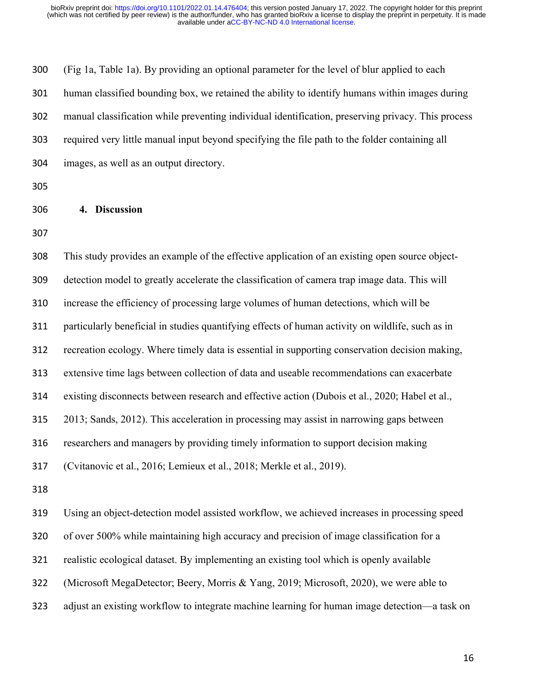(Fig 1a, Table 1a). By providing an optional parameter for the level of blur applied to each human classified bounding box, we retained the ability to identify humans within images during manual classification while preventing individual identification, preserving privacy. This process required very little manual input beyond specifying the file path to the folder containing all images, as well as an output directory.

## **4. Discussion**

 This study provides an example of the effective application of an existing open source object- detection model to greatly accelerate the classification of camera trap image data. This will increase the efficiency of processing large volumes of human detections, which will be particularly beneficial in studies quantifying effects of human activity on wildlife, such as in recreation ecology. Where timely data is essential in supporting conservation decision making, extensive time lags between collection of data and useable recommendations can exacerbate existing disconnects between research and effective action (Dubois et al., 2020; Habel et al., 2013; Sands, 2012). This acceleration in processing may assist in narrowing gaps between researchers and managers by providing timely information to support decision making (Cvitanovic et al., 2016; Lemieux et al., 2018; Merkle et al., 2019). Using an object-detection model assisted workflow, we achieved increases in processing speed of over 500% while maintaining high accuracy and precision of image classification for a realistic ecological dataset. By implementing an existing tool which is openly available

(Microsoft MegaDetector; Beery, Morris & Yang, 2019; Microsoft, 2020), we were able to

adjust an existing workflow to integrate machine learning for human image detection—a task on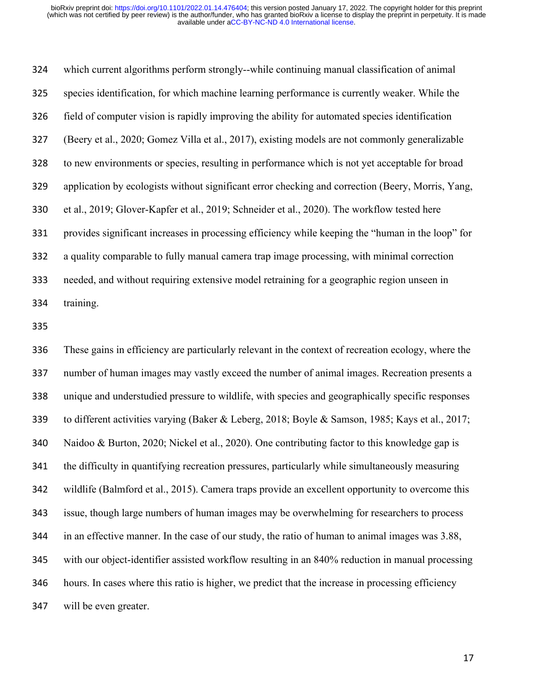which current algorithms perform strongly--while continuing manual classification of animal species identification, for which machine learning performance is currently weaker. While the field of computer vision is rapidly improving the ability for automated species identification (Beery et al., 2020; Gomez Villa et al., 2017), existing models are not commonly generalizable to new environments or species, resulting in performance which is not yet acceptable for broad application by ecologists without significant error checking and correction (Beery, Morris, Yang, et al., 2019; Glover‐Kapfer et al., 2019; Schneider et al., 2020). The workflow tested here provides significant increases in processing efficiency while keeping the "human in the loop" for a quality comparable to fully manual camera trap image processing, with minimal correction needed, and without requiring extensive model retraining for a geographic region unseen in training.

 These gains in efficiency are particularly relevant in the context of recreation ecology, where the number of human images may vastly exceed the number of animal images. Recreation presents a unique and understudied pressure to wildlife, with species and geographically specific responses to different activities varying (Baker & Leberg, 2018; Boyle & Samson, 1985; Kays et al., 2017; Naidoo & Burton, 2020; Nickel et al., 2020). One contributing factor to this knowledge gap is the difficulty in quantifying recreation pressures, particularly while simultaneously measuring wildlife (Balmford et al., 2015). Camera traps provide an excellent opportunity to overcome this issue, though large numbers of human images may be overwhelming for researchers to process in an effective manner. In the case of our study, the ratio of human to animal images was 3.88, with our object-identifier assisted workflow resulting in an 840% reduction in manual processing hours. In cases where this ratio is higher, we predict that the increase in processing efficiency will be even greater.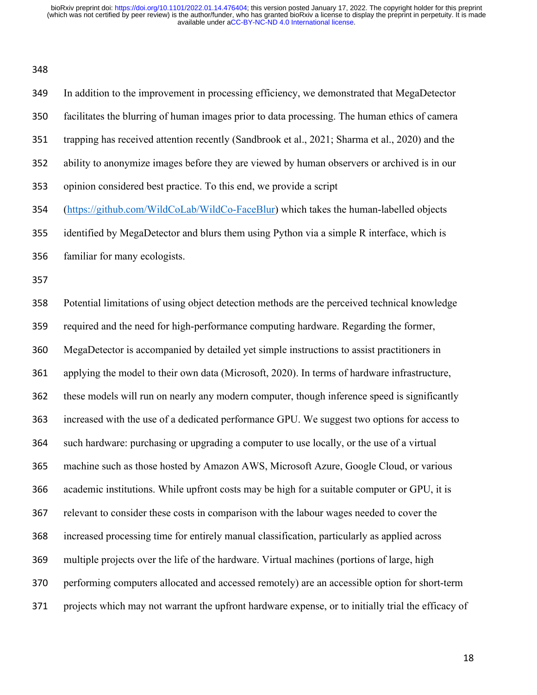| ۰.<br>o e<br>٦<br>۰.<br>× | ×<br>۰. |
|---------------------------|---------|
|---------------------------|---------|

 In addition to the improvement in processing efficiency, we demonstrated that MegaDetector facilitates the blurring of human images prior to data processing. The human ethics of camera trapping has received attention recently (Sandbrook et al., 2021; Sharma et al., 2020) and the ability to anonymize images before they are viewed by human observers or archived is in our opinion considered best practice. To this end, we provide a script (https://github.com/WildCoLab/WildCo-FaceBlur) which takes the human-labelled objects identified by MegaDetector and blurs them using Python via a simple R interface, which is familiar for many ecologists. Potential limitations of using object detection methods are the perceived technical knowledge required and the need for high-performance computing hardware. Regarding the former, MegaDetector is accompanied by detailed yet simple instructions to assist practitioners in applying the model to their own data (Microsoft, 2020). In terms of hardware infrastructure, these models will run on nearly any modern computer, though inference speed is significantly increased with the use of a dedicated performance GPU. We suggest two options for access to such hardware: purchasing or upgrading a computer to use locally, or the use of a virtual machine such as those hosted by Amazon AWS, Microsoft Azure, Google Cloud, or various academic institutions. While upfront costs may be high for a suitable computer or GPU, it is relevant to consider these costs in comparison with the labour wages needed to cover the increased processing time for entirely manual classification, particularly as applied across multiple projects over the life of the hardware. Virtual machines (portions of large, high performing computers allocated and accessed remotely) are an accessible option for short-term projects which may not warrant the upfront hardware expense, or to initially trial the efficacy of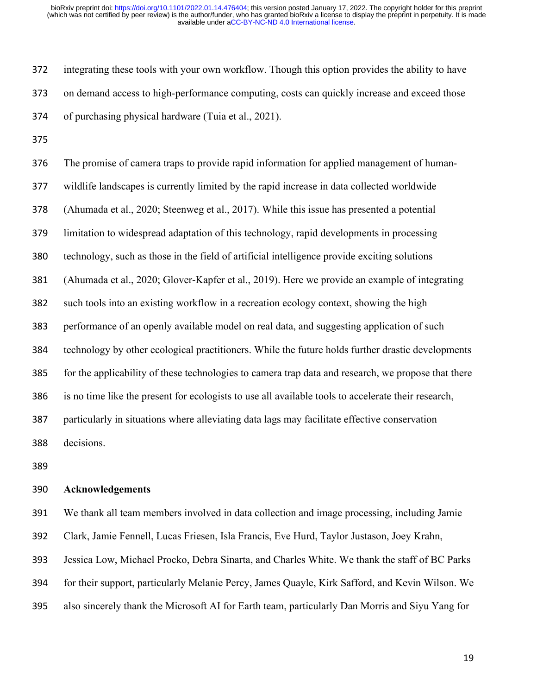integrating these tools with your own workflow. Though this option provides the ability to have on demand access to high-performance computing, costs can quickly increase and exceed those of purchasing physical hardware (Tuia et al., 2021).

 The promise of camera traps to provide rapid information for applied management of human- wildlife landscapes is currently limited by the rapid increase in data collected worldwide (Ahumada et al., 2020; Steenweg et al., 2017). While this issue has presented a potential limitation to widespread adaptation of this technology, rapid developments in processing technology, such as those in the field of artificial intelligence provide exciting solutions (Ahumada et al., 2020; Glover‐Kapfer et al., 2019). Here we provide an example of integrating such tools into an existing workflow in a recreation ecology context, showing the high performance of an openly available model on real data, and suggesting application of such technology by other ecological practitioners. While the future holds further drastic developments for the applicability of these technologies to camera trap data and research, we propose that there is no time like the present for ecologists to use all available tools to accelerate their research, particularly in situations where alleviating data lags may facilitate effective conservation decisions.

## **Acknowledgements**

We thank all team members involved in data collection and image processing, including Jamie

Clark, Jamie Fennell, Lucas Friesen, Isla Francis, Eve Hurd, Taylor Justason, Joey Krahn,

Jessica Low, Michael Procko, Debra Sinarta, and Charles White. We thank the staff of BC Parks

for their support, particularly Melanie Percy, James Quayle, Kirk Safford, and Kevin Wilson. We

also sincerely thank the Microsoft AI for Earth team, particularly Dan Morris and Siyu Yang for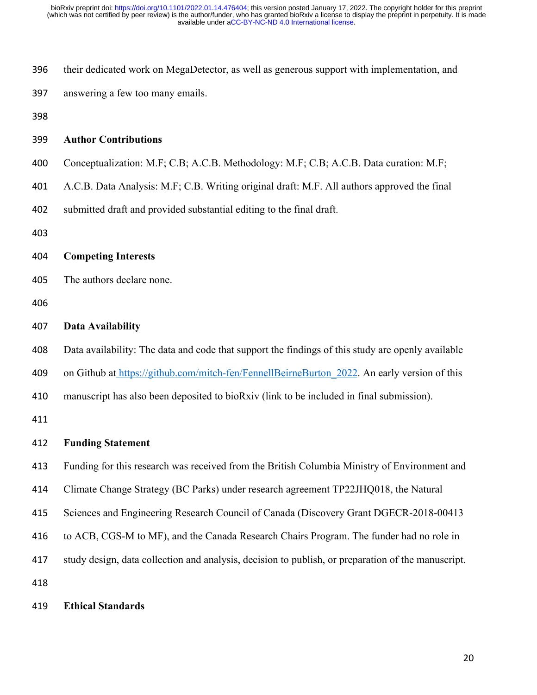- their dedicated work on MegaDetector, as well as generous support with implementation, and
- answering a few too many emails.
- 

## **Author Contributions**

- Conceptualization: M.F; C.B; A.C.B. Methodology: M.F; C.B; A.C.B. Data curation: M.F;
- A.C.B. Data Analysis: M.F; C.B. Writing original draft: M.F. All authors approved the final
- submitted draft and provided substantial editing to the final draft.
- 

# **Competing Interests**

- The authors declare none.
- 

### **Data Availability**

 Data availability: The data and code that support the findings of this study are openly available 409 on Github at https://github.com/mitch-fen/FennellBeirneBurton 2022. An early version of this manuscript has also been deposited to bioRxiv (link to be included in final submission).

#### **Funding Statement**

- Funding for this research was received from the British Columbia Ministry of Environment and
- Climate Change Strategy (BC Parks) under research agreement TP22JHQ018, the Natural
- Sciences and Engineering Research Council of Canada (Discovery Grant DGECR-2018-00413
- to ACB, CGS-M to MF), and the Canada Research Chairs Program. The funder had no role in
- study design, data collection and analysis, decision to publish, or preparation of the manuscript.
- 

#### **Ethical Standards**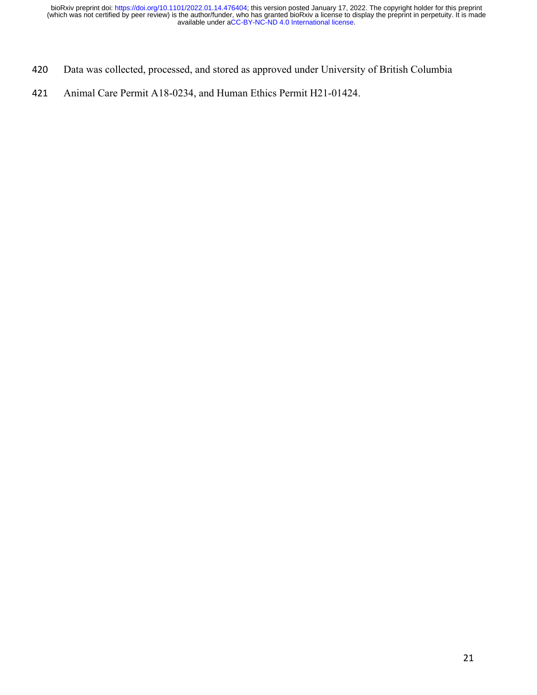- 420 Data was collected, processed, and stored as approved under University of British Columbia
- 421 Animal Care Permit A18-0234, and Human Ethics Permit H21-01424.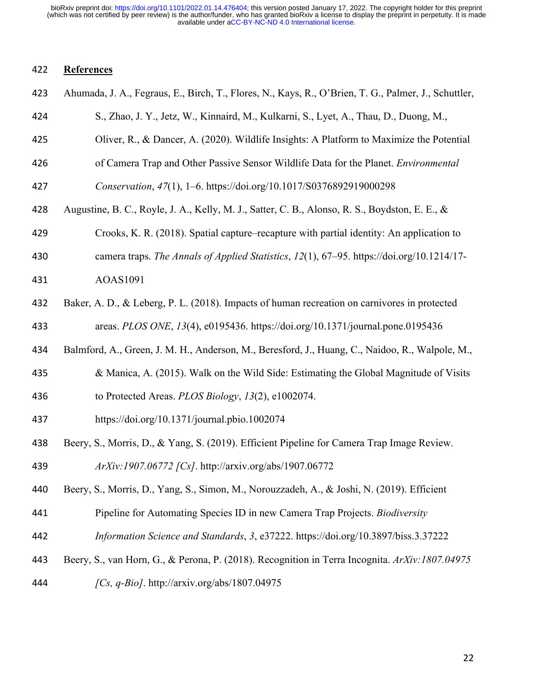# **References**

| 423 | Ahumada, J. A., Fegraus, E., Birch, T., Flores, N., Kays, R., O'Brien, T. G., Palmer, J., Schuttler, |
|-----|------------------------------------------------------------------------------------------------------|
| 424 | S., Zhao, J. Y., Jetz, W., Kinnaird, M., Kulkarni, S., Lyet, A., Thau, D., Duong, M.,                |
| 425 | Oliver, R., & Dancer, A. (2020). Wildlife Insights: A Platform to Maximize the Potential             |
| 426 | of Camera Trap and Other Passive Sensor Wildlife Data for the Planet. Environmental                  |
| 427 | Conservation, 47(1), 1-6. https://doi.org/10.1017/S0376892919000298                                  |
| 428 | Augustine, B. C., Royle, J. A., Kelly, M. J., Satter, C. B., Alonso, R. S., Boydston, E. E., &       |
| 429 | Crooks, K. R. (2018). Spatial capture–recapture with partial identity: An application to             |
| 430 | camera traps. The Annals of Applied Statistics, 12(1), 67-95. https://doi.org/10.1214/17-            |
| 431 | AOAS1091                                                                                             |
| 432 | Baker, A. D., & Leberg, P. L. (2018). Impacts of human recreation on carnivores in protected         |
| 433 | areas. PLOS ONE, 13(4), e0195436. https://doi.org/10.1371/journal.pone.0195436                       |
| 434 | Balmford, A., Green, J. M. H., Anderson, M., Beresford, J., Huang, C., Naidoo, R., Walpole, M.,      |
| 435 | & Manica, A. (2015). Walk on the Wild Side: Estimating the Global Magnitude of Visits                |
| 436 | to Protected Areas. PLOS Biology, 13(2), e1002074.                                                   |
| 437 | https://doi.org/10.1371/journal.pbio.1002074                                                         |
| 438 | Beery, S., Morris, D., & Yang, S. (2019). Efficient Pipeline for Camera Trap Image Review.           |
| 439 | ArXiv:1907.06772 [Cs]. http://arxiv.org/abs/1907.06772                                               |
| 440 | Beery, S., Morris, D., Yang, S., Simon, M., Norouzzadeh, A., & Joshi, N. (2019). Efficient           |
| 441 | Pipeline for Automating Species ID in new Camera Trap Projects. Biodiversity                         |
| 442 | Information Science and Standards, 3, e37222. https://doi.org/10.3897/biss.3.37222                   |
| 443 | Beery, S., van Horn, G., & Perona, P. (2018). Recognition in Terra Incognita. ArXiv:1807.04975       |
| 444 | [Cs, $q$ -Bio]. http://arxiv.org/abs/1807.04975                                                      |
|     |                                                                                                      |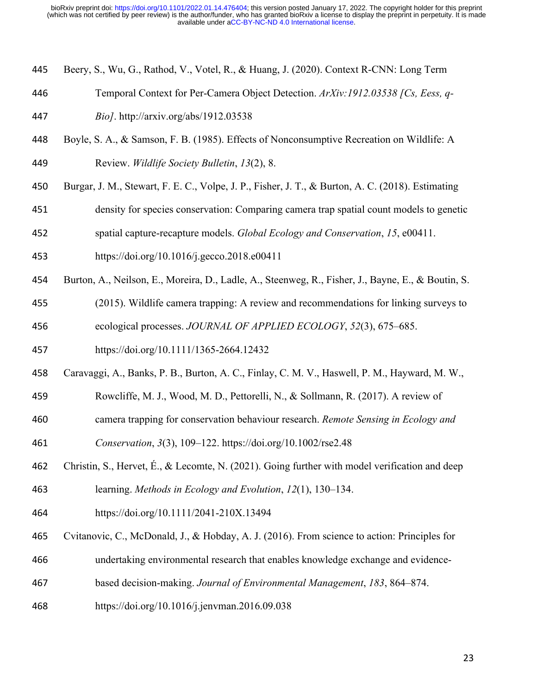- Beery, S., Wu, G., Rathod, V., Votel, R., & Huang, J. (2020). Context R-CNN: Long Term
- Temporal Context for Per-Camera Object Detection. *ArXiv:1912.03538 [Cs, Eess, q-*
- *Bio]*. http://arxiv.org/abs/1912.03538
- Boyle, S. A., & Samson, F. B. (1985). Effects of Nonconsumptive Recreation on Wildlife: A Review. *Wildlife Society Bulletin*, *13*(2), 8.
- Burgar, J. M., Stewart, F. E. C., Volpe, J. P., Fisher, J. T., & Burton, A. C. (2018). Estimating
- density for species conservation: Comparing camera trap spatial count models to genetic
- spatial capture-recapture models. *Global Ecology and Conservation*, *15*, e00411.
- https://doi.org/10.1016/j.gecco.2018.e00411
- Burton, A., Neilson, E., Moreira, D., Ladle, A., Steenweg, R., Fisher, J., Bayne, E., & Boutin, S.
- (2015). Wildlife camera trapping: A review and recommendations for linking surveys to ecological processes. *JOURNAL OF APPLIED ECOLOGY*, *52*(3), 675–685.
- https://doi.org/10.1111/1365-2664.12432
- Caravaggi, A., Banks, P. B., Burton, A. C., Finlay, C. M. V., Haswell, P. M., Hayward, M. W.,
- Rowcliffe, M. J., Wood, M. D., Pettorelli, N., & Sollmann, R. (2017). A review of
- camera trapping for conservation behaviour research. *Remote Sensing in Ecology and*
- *Conservation*, *3*(3), 109–122. https://doi.org/10.1002/rse2.48
- Christin, S., Hervet, É., & Lecomte, N. (2021). Going further with model verification and deep learning. *Methods in Ecology and Evolution*, *12*(1), 130–134.
- https://doi.org/10.1111/2041-210X.13494
- Cvitanovic, C., McDonald, J., & Hobday, A. J. (2016). From science to action: Principles for
- undertaking environmental research that enables knowledge exchange and evidence-
- based decision-making. *Journal of Environmental Management*, *183*, 864–874.
- https://doi.org/10.1016/j.jenvman.2016.09.038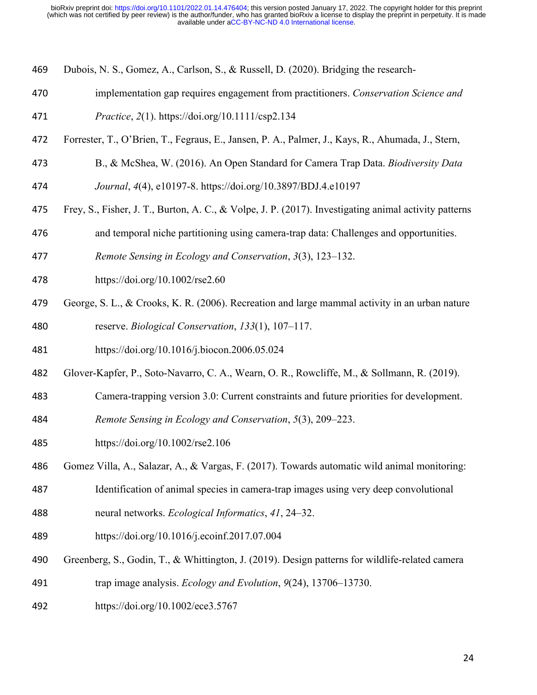- Dubois, N. S., Gomez, A., Carlson, S., & Russell, D. (2020). Bridging the research‐
- implementation gap requires engagement from practitioners. *Conservation Science and*
- *Practice*, *2*(1). https://doi.org/10.1111/csp2.134
- Forrester, T., O'Brien, T., Fegraus, E., Jansen, P. A., Palmer, J., Kays, R., Ahumada, J., Stern,
- B., & McShea, W. (2016). An Open Standard for Camera Trap Data. *Biodiversity Data*
- *Journal*, *4*(4), e10197-8. https://doi.org/10.3897/BDJ.4.e10197
- Frey, S., Fisher, J. T., Burton, A. C., & Volpe, J. P. (2017). Investigating animal activity patterns
- and temporal niche partitioning using camera-trap data: Challenges and opportunities.
- *Remote Sensing in Ecology and Conservation*, *3*(3), 123–132.
- https://doi.org/10.1002/rse2.60
- 479 George, S. L., & Crooks, K. R. (2006). Recreation and large mammal activity in an urban nature reserve. *Biological Conservation*, *133*(1), 107–117.
- https://doi.org/10.1016/j.biocon.2006.05.024
- 482 Glover-Kapfer, P., Soto-Navarro, C. A., Wearn, O. R., Rowcliffe, M., & Sollmann, R. (2019).
- Camera‐trapping version 3.0: Current constraints and future priorities for development.
- *Remote Sensing in Ecology and Conservation*, *5*(3), 209–223.
- https://doi.org/10.1002/rse2.106
- Gomez Villa, A., Salazar, A., & Vargas, F. (2017). Towards automatic wild animal monitoring:
- Identification of animal species in camera-trap images using very deep convolutional
- neural networks. *Ecological Informatics*, *41*, 24–32.
- https://doi.org/10.1016/j.ecoinf.2017.07.004
- 490 Greenberg, S., Godin, T., & Whittington, J. (2019). Design patterns for wildlife-related camera
- trap image analysis. *Ecology and Evolution*, *9*(24), 13706–13730.
- https://doi.org/10.1002/ece3.5767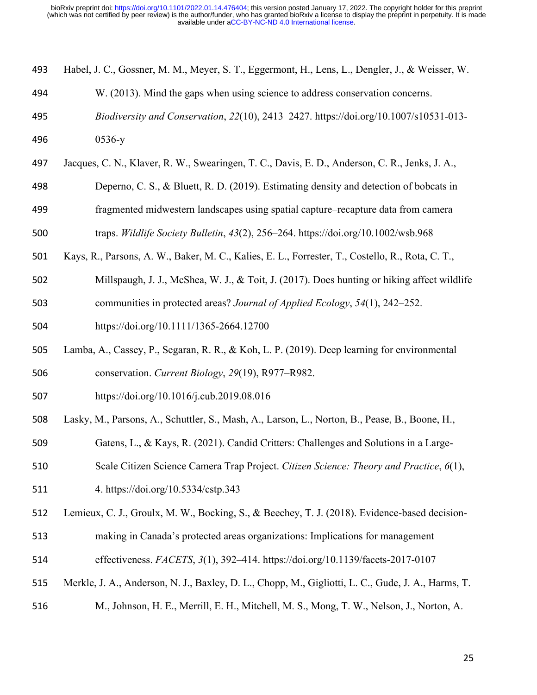| 493 Habel, J. C., Gossner, M. M., Meyer, S. T., Eggermont, H., Lens, L., Dengler, J., & Weisser, W. |  |  |  |  |  |  |  |
|-----------------------------------------------------------------------------------------------------|--|--|--|--|--|--|--|
|-----------------------------------------------------------------------------------------------------|--|--|--|--|--|--|--|

- W. (2013). Mind the gaps when using science to address conservation concerns.
- *Biodiversity and Conservation*, *22*(10), 2413–2427. https://doi.org/10.1007/s10531-013-
- 0536-y
- Jacques, C. N., Klaver, R. W., Swearingen, T. C., Davis, E. D., Anderson, C. R., Jenks, J. A.,
- Deperno, C. S., & Bluett, R. D. (2019). Estimating density and detection of bobcats in
- fragmented midwestern landscapes using spatial capture–recapture data from camera

traps. *Wildlife Society Bulletin*, *43*(2), 256–264. https://doi.org/10.1002/wsb.968

- Kays, R., Parsons, A. W., Baker, M. C., Kalies, E. L., Forrester, T., Costello, R., Rota, C. T.,
- Millspaugh, J. J., McShea, W. J., & Toit, J. (2017). Does hunting or hiking affect wildlife communities in protected areas? *Journal of Applied Ecology*, *54*(1), 242–252.
- https://doi.org/10.1111/1365-2664.12700
- Lamba, A., Cassey, P., Segaran, R. R., & Koh, L. P. (2019). Deep learning for environmental conservation. *Current Biology*, *29*(19), R977–R982.
- https://doi.org/10.1016/j.cub.2019.08.016
- Lasky, M., Parsons, A., Schuttler, S., Mash, A., Larson, L., Norton, B., Pease, B., Boone, H.,
- Gatens, L., & Kays, R. (2021). Candid Critters: Challenges and Solutions in a Large-
- Scale Citizen Science Camera Trap Project. *Citizen Science: Theory and Practice*, *6*(1),
- 4. https://doi.org/10.5334/cstp.343
- Lemieux, C. J., Groulx, M. W., Bocking, S., & Beechey, T. J. (2018). Evidence-based decision-
- making in Canada's protected areas organizations: Implications for management
- effectiveness. *FACETS*, *3*(1), 392–414. https://doi.org/10.1139/facets-2017-0107
- Merkle, J. A., Anderson, N. J., Baxley, D. L., Chopp, M., Gigliotti, L. C., Gude, J. A., Harms, T.
- M., Johnson, H. E., Merrill, E. H., Mitchell, M. S., Mong, T. W., Nelson, J., Norton, A.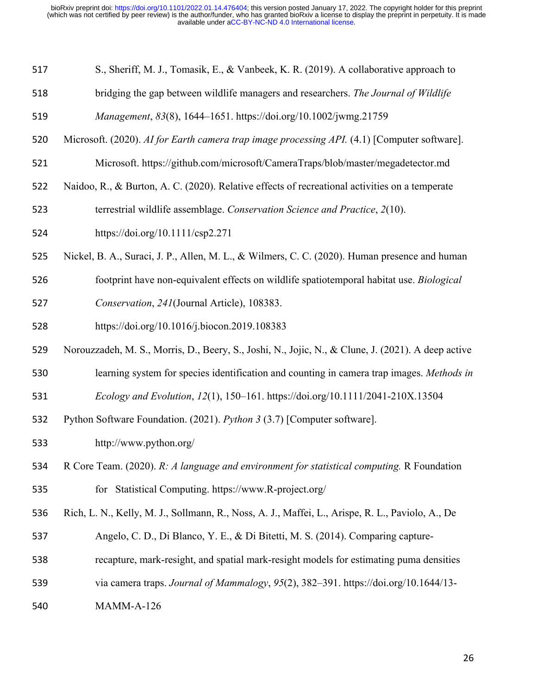| 517 | S., Sheriff, M. J., Tomasik, E., & Vanbeek, K. R. (2019). A collaborative approach to |  |
|-----|---------------------------------------------------------------------------------------|--|
|-----|---------------------------------------------------------------------------------------|--|

bridging the gap between wildlife managers and researchers. *The Journal of Wildlife* 

- Microsoft. (2020). *AI for Earth camera trap image processing API.* (4.1) [Computer software].
- Microsoft. https://github.com/microsoft/CameraTraps/blob/master/megadetector.md
- Naidoo, R., & Burton, A. C. (2020). Relative effects of recreational activities on a temperate

terrestrial wildlife assemblage. *Conservation Science and Practice*, *2*(10).

- https://doi.org/10.1111/csp2.271
- Nickel, B. A., Suraci, J. P., Allen, M. L., & Wilmers, C. C. (2020). Human presence and human
- footprint have non-equivalent effects on wildlife spatiotemporal habitat use. *Biological*
- *Conservation*, *241*(Journal Article), 108383.
- https://doi.org/10.1016/j.biocon.2019.108383
- Norouzzadeh, M. S., Morris, D., Beery, S., Joshi, N., Jojic, N., & Clune, J. (2021). A deep active
- learning system for species identification and counting in camera trap images. *Methods in*
- *Ecology and Evolution*, *12*(1), 150–161. https://doi.org/10.1111/2041-210X.13504
- Python Software Foundation. (2021). *Python 3* (3.7) [Computer software].
- http://www.python.org/
- R Core Team. (2020). *R: A language and environment for statistical computing.* R Foundation for Statistical Computing. https://www.R-project.org/
- Rich, L. N., Kelly, M. J., Sollmann, R., Noss, A. J., Maffei, L., Arispe, R. L., Paviolo, A., De
- Angelo, C. D., Di Blanco, Y. E., & Di Bitetti, M. S. (2014). Comparing capture-
- recapture, mark-resight, and spatial mark-resight models for estimating puma densities
- via camera traps. *Journal of Mammalogy*, *95*(2), 382–391. https://doi.org/10.1644/13-
- MAMM-A-126

*Management*, *83*(8), 1644–1651. https://doi.org/10.1002/jwmg.21759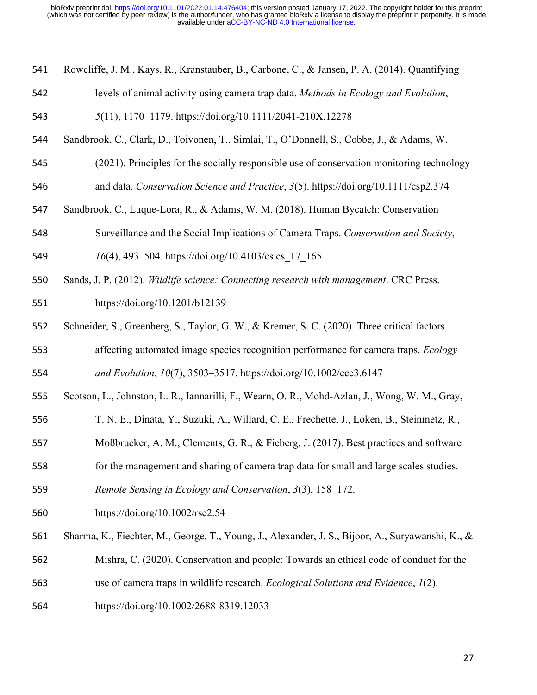- Rowcliffe, J. M., Kays, R., Kranstauber, B., Carbone, C., & Jansen, P. A. (2014). Quantifying
- levels of animal activity using camera trap data. *Methods in Ecology and Evolution*,
- *5*(11), 1170–1179. https://doi.org/10.1111/2041-210X.12278
- Sandbrook, C., Clark, D., Toivonen, T., Simlai, T., O'Donnell, S., Cobbe, J., & Adams, W.
- (2021). Principles for the socially responsible use of conservation monitoring technology and data. *Conservation Science and Practice*, *3*(5). https://doi.org/10.1111/csp2.374
- Sandbrook, C., Luque-Lora, R., & Adams, W. M. (2018). Human Bycatch: Conservation
- Surveillance and the Social Implications of Camera Traps. *Conservation and Society*,
- *16*(4), 493–504. https://doi.org/10.4103/cs.cs\_17\_165
- Sands, J. P. (2012). *Wildlife science: Connecting research with management*. CRC Press.
- https://doi.org/10.1201/b12139
- Schneider, S., Greenberg, S., Taylor, G. W., & Kremer, S. C. (2020). Three critical factors
- affecting automated image species recognition performance for camera traps. *Ecology and Evolution*, *10*(7), 3503–3517. https://doi.org/10.1002/ece3.6147
- Scotson, L., Johnston, L. R., Iannarilli, F., Wearn, O. R., Mohd-Azlan, J., Wong, W. M., Gray,
- T. N. E., Dinata, Y., Suzuki, A., Willard, C. E., Frechette, J., Loken, B., Steinmetz, R.,
- Moßbrucker, A. M., Clements, G. R., & Fieberg, J. (2017). Best practices and software
- for the management and sharing of camera trap data for small and large scales studies.
- *Remote Sensing in Ecology and Conservation*, *3*(3), 158–172.
- https://doi.org/10.1002/rse2.54
- Sharma, K., Fiechter, M., George, T., Young, J., Alexander, J. S., Bijoor, A., Suryawanshi, K., &
- Mishra, C. (2020). Conservation and people: Towards an ethical code of conduct for the
- use of camera traps in wildlife research. *Ecological Solutions and Evidence*, *1*(2).
- https://doi.org/10.1002/2688-8319.12033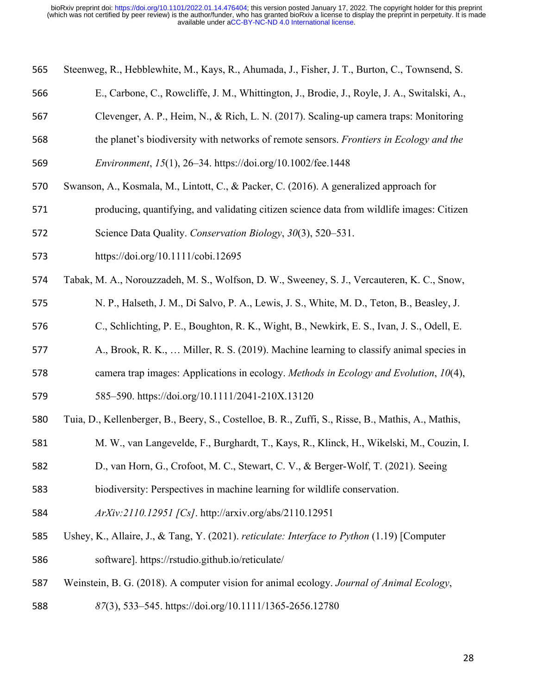| 565 |  |  |  | Steenweg, R., Hebblewhite, M., Kays, R., Ahumada, J., Fisher, J. T., Burton, C., Townsend, S. |
|-----|--|--|--|-----------------------------------------------------------------------------------------------|
|     |  |  |  |                                                                                               |

- E., Carbone, C., Rowcliffe, J. M., Whittington, J., Brodie, J., Royle, J. A., Switalski, A.,
- Clevenger, A. P., Heim, N., & Rich, L. N. (2017). Scaling-up camera traps: Monitoring
- the planet's biodiversity with networks of remote sensors. *Frontiers in Ecology and the*

*Environment*, *15*(1), 26–34. https://doi.org/10.1002/fee.1448

- Swanson, A., Kosmala, M., Lintott, C., & Packer, C. (2016). A generalized approach for
- producing, quantifying, and validating citizen science data from wildlife images: Citizen
- Science Data Quality. *Conservation Biology*, *30*(3), 520–531.
- https://doi.org/10.1111/cobi.12695
- Tabak, M. A., Norouzzadeh, M. S., Wolfson, D. W., Sweeney, S. J., Vercauteren, K. C., Snow,
- N. P., Halseth, J. M., Di Salvo, P. A., Lewis, J. S., White, M. D., Teton, B., Beasley, J.
- C., Schlichting, P. E., Boughton, R. K., Wight, B., Newkirk, E. S., Ivan, J. S., Odell, E.
- A., Brook, R. K., … Miller, R. S. (2019). Machine learning to classify animal species in
- camera trap images: Applications in ecology. *Methods in Ecology and Evolution*, *10*(4),
- 585–590. https://doi.org/10.1111/2041-210X.13120
- Tuia, D., Kellenberger, B., Beery, S., Costelloe, B. R., Zuffi, S., Risse, B., Mathis, A., Mathis,
- M. W., van Langevelde, F., Burghardt, T., Kays, R., Klinck, H., Wikelski, M., Couzin, I.
- D., van Horn, G., Crofoot, M. C., Stewart, C. V., & Berger-Wolf, T. (2021). Seeing
- biodiversity: Perspectives in machine learning for wildlife conservation.
- *ArXiv:2110.12951 [Cs]*. http://arxiv.org/abs/2110.12951
- Ushey, K., Allaire, J., & Tang, Y. (2021). *reticulate: Interface to Python* (1.19) [Computer software]. https://rstudio.github.io/reticulate/
- Weinstein, B. G. (2018). A computer vision for animal ecology. *Journal of Animal Ecology*,
- *87*(3), 533–545. https://doi.org/10.1111/1365-2656.12780